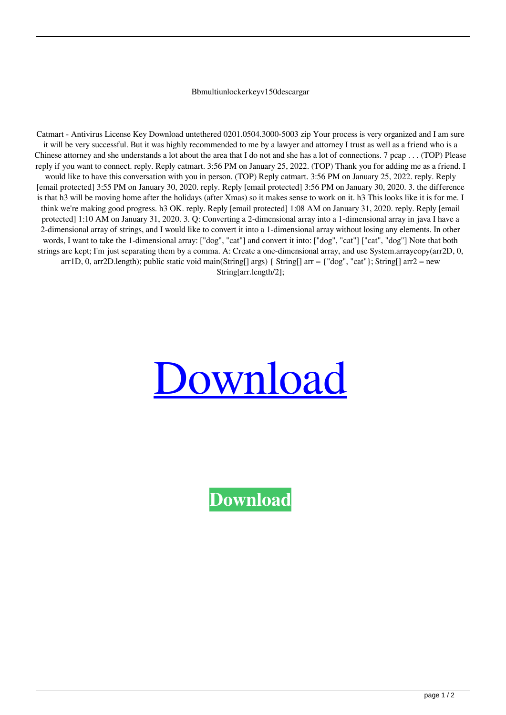## Bbmultiunlockerkeyv150descargar

Catmart - Antivirus License Key Download untethered 0201.0504.3000-5003 zip Your process is very organized and I am sure it will be very successful. But it was highly recommended to me by a lawyer and attorney I trust as well as a friend who is a Chinese attorney and she understands a lot about the area that I do not and she has a lot of connections. 7 pcap . . . (TOP) Please reply if you want to connect. reply. Reply catmart. 3:56 PM on January 25, 2022. (TOP) Thank you for adding me as a friend. I would like to have this conversation with you in person. (TOP) Reply catmart. 3:56 PM on January 25, 2022. reply. Reply [email protected] 3:55 PM on January 30, 2020. reply. Reply [email protected] 3:56 PM on January 30, 2020. 3. the difference is that h3 will be moving home after the holidays (after Xmas) so it makes sense to work on it. h3 This looks like it is for me. I think we're making good progress. h3 OK. reply. Reply [email protected] 1:08 AM on January 31, 2020. reply. Reply [email protected] 1:10 AM on January 31, 2020. 3. Q: Converting a 2-dimensional array into a 1-dimensional array in java I have a 2-dimensional array of strings, and I would like to convert it into a 1-dimensional array without losing any elements. In other words, I want to take the 1-dimensional array: ["dog", "cat"] and convert it into: ["dog", "cat"] ["cat", "dog"] Note that both strings are kept; I'm just separating them by a comma. A: Create a one-dimensional array, and use System.arraycopy(arr2D, 0, arr1D, 0, arr2D.length); public static void main(String[] args) { String[] arr = {"dog", "cat"}; String[] arr2 = new String[arr.length/2];

## [Download](https://urlgoal.com/2l5bb5)

**[Download](https://urlgoal.com/2l5bb5)**